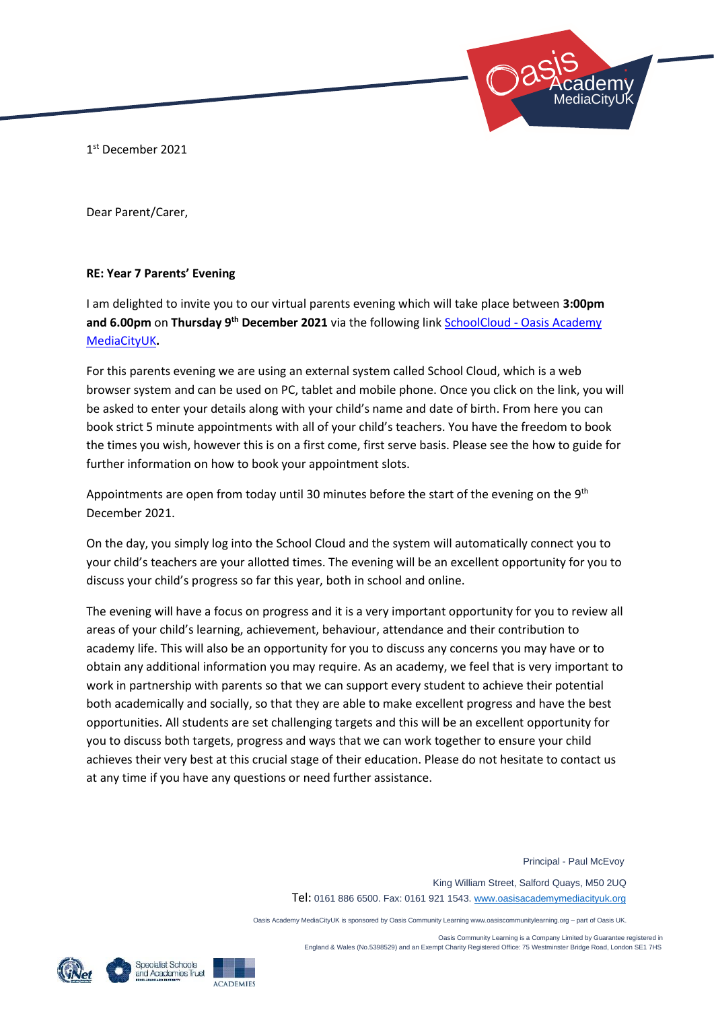1 st December 2021

Dear Parent/Carer,

## **RE: Year 7 Parents' Evening**

I am delighted to invite you to our virtual parents evening which will take place between **3:00pm and 6.00pm** on **Thursday 9th December 2021** via the following link SchoolCloud - [Oasis Academy](https://oasisacademymediacityuk.schoolcloud.co.uk/)  [MediaCityUK](https://oasisacademymediacityuk.schoolcloud.co.uk/)**.** 

For this parents evening we are using an external system called School Cloud, which is a web browser system and can be used on PC, tablet and mobile phone. Once you click on the link, you will be asked to enter your details along with your child's name and date of birth. From here you can book strict 5 minute appointments with all of your child's teachers. You have the freedom to book the times you wish, however this is on a first come, first serve basis. Please see the how to guide for further information on how to book your appointment slots.

Appointments are open from today until 30 minutes before the start of the evening on the 9<sup>th</sup> December 2021.

On the day, you simply log into the School Cloud and the system will automatically connect you to your child's teachers are your allotted times. The evening will be an excellent opportunity for you to discuss your child's progress so far this year, both in school and online.

The evening will have a focus on progress and it is a very important opportunity for you to review all areas of your child's learning, achievement, behaviour, attendance and their contribution to academy life. This will also be an opportunity for you to discuss any concerns you may have or to obtain any additional information you may require. As an academy, we feel that is very important to work in partnership with parents so that we can support every student to achieve their potential both academically and socially, so that they are able to make excellent progress and have the best opportunities. All students are set challenging targets and this will be an excellent opportunity for you to discuss both targets, progress and ways that we can work together to ensure your child achieves their very best at this crucial stage of their education. Please do not hesitate to contact us at any time if you have any questions or need further assistance.

Principal - Paul McEvoy

 Academy: MediaCityUK

 King William Street, Salford Quays, M50 2UQ Tel: 0161 886 6500. Fax: 0161 921 1543[. www.oasisacademymediacityuk.org](http://www.oasisacademymediacityuk.org/)

Oasis Academy MediaCityUK is sponsored by Oasis Community Learning www.oasiscommunitylearning.org – part of Oasis UK.

 Oasis Community Learning is a Company Limited by Guarantee registered in England & Wales (No.5398529) and an Exempt Charity Registered Office: 75 Westminster Bridge Road, London SE1 7HS